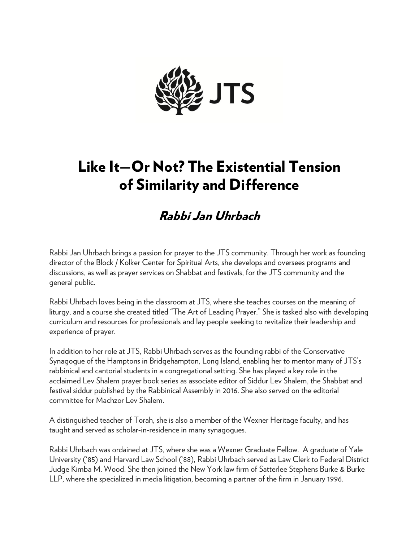

# Like It—Or Not? The Existential Tension of Similarity and Difference

# Rabbi Jan Uhrbach

Rabbi Jan Uhrbach brings a passion for prayer to the JTS community. Through her work as founding director of the Block / Kolker Center for Spiritual Arts, she develops and oversees programs and discussions, as well as prayer services on Shabbat and festivals, for the JTS community and the general public.

Rabbi Uhrbach loves being in the classroom at JTS, where she teaches courses on the meaning of liturgy, and a course she created titled "The Art of Leading Prayer." She is tasked also with developing curriculum and resources for professionals and lay people seeking to revitalize their leadership and experience of prayer.

In addition to her role at JTS, Rabbi Uhrbach serves as the founding rabbi of the Conservative Synagogue of the Hamptons in Bridgehampton, Long Island, enabling her to mentor many of JTS's rabbinical and cantorial students in a congregational setting. She has played a key role in the acclaimed Lev Shalem prayer book series as associate editor of Siddur Lev Shalem, the Shabbat and festival siddur published by the Rabbinical Assembly in 2016. She also served on the editorial committee for Machzor Lev Shalem.

A distinguished teacher of Torah, she is also a member of the Wexner Heritage faculty, and has taught and served as scholar-in-residence in many synagogues.

Rabbi Uhrbach was ordained at JTS, where she was a Wexner Graduate Fellow. A graduate of Yale University ('85) and Harvard Law School ('88), Rabbi Uhrbach served as Law Clerk to Federal District Judge Kimba M. Wood. She then joined the New York law firm of Satterlee Stephens Burke & Burke LLP, where she specialized in media litigation, becoming a partner of the firm in January 1996.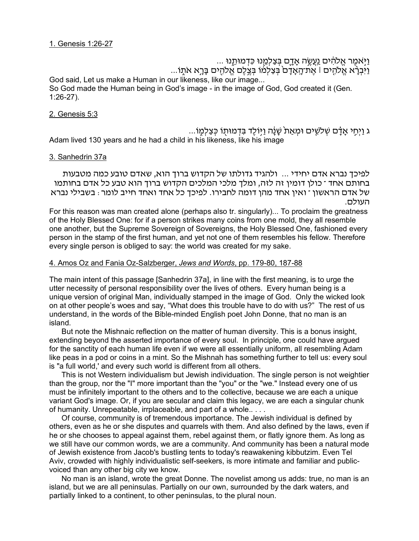ּ וַיִּאמֶר אֱלֹהִ֫ים נֵעֲשֶׂה אַדֵם בִּצַלְמֵנוּ כִּדְמוּתֵנוּ ... וַיִּבְרָ֫א אֱלֹהֶים | אֱת־הָאֲדָם בְּצֶלְמוֹ בְּצֵלֶם אֱלֹהֶים בָּרֵא אֹתְוֹ... God said, Let us make a Human in our likeness, like our image...

So God made the Human being in God's image - in the image of God, God created it (Gen. 1:26-27).

### 2. Genesis 5:3

ֹג וַיְחֵי אָדָ֫ם שְׁלֹשֵׁים וּמְאַתֹּ שָׁנָּ֔ה וַיְּוֹלֶד בִּדְמוּתָוֹ כְּצַלְמֶוֹ... Adam lived 130 years and he had a child in his likeness, like his image

# 3. Sanhedrin 37a

לפיכך נברא אדם יחידי ... ולהגיד גדולתו של הקדוש ברוך הוא, שאדם טובע כמה מטבעות בחותם אחד ־ כולן דומין זה לזה, ומלך מלכי המלכים הקדוש ברוך הוא טבע כל אדם בחותמו של אדם הראשון ־ ואין אחד מהן דומה לחבירו. לפיכך כל אחד ואחד חייב לומר : בשבילי נברא<br>העולם.

For this reason was man created alone (perhaps also tr. singularly)... To proclaim the greatness of the Holy Blessed One: for if a person strikes many coins from one mold, they all resemble one another, but the Supreme Sovereign of Sovereigns, the Holy Blessed One, fashioned every person in the stamp of the first human, and yet not one of them resembles his fellow. Therefore every single person is obliged to say: the world was created for my sake.

# 4. Amos Oz and Fania Oz-Salzberger, *Jews and Words*, pp. 179-80, 187-88

The main intent of this passage [Sanhedrin 37a], in line with the first meaning, is to urge the utter necessity of personal responsibility over the lives of others. Every human being is a unique version of original Man, individually stamped in the image of God. Only the wicked look on at other people's woes and say, "What does this trouble have to do with us?" The rest of us understand, in the words of the Bible-minded English poet John Donne, that no man is an island.

But note the Mishnaic reflection on the matter of human diversity. This is a bonus insight, extending beyond the asserted importance of every soul. In principle, one could have argued for the sanctity of each human life even if we were all essentially uniform, all resembling Adam like peas in a pod or coins in a mint. So the Mishnah has something further to tell us: every soul is "a full world,' and every such world is different from all others.

This is not Western individualism but Jewish individuation. The single person is not weightier than the group, nor the "I" more important than the "you" or the "we." Instead every one of us must be infinitely important to the others and to the collective, because we are each a unique variant God's image. Or, if you are secular and claim this legacy, we are each a singular chunk of humanity. Unrepeatable, irrplaceable, and part of a whole.. . . .

Of course, community is of tremendous importance. The Jewish individual is defined by others, even as he or she disputes and quarrels with them. And also defined by the laws, even if he or she chooses to appeal against them, rebel against them, or flatly ignore them. As long as we still have our common words, we are a community. And community has been a natural mode of Jewish existence from Jacob's bustling tents to today's reawakening kibbutzim. Even Tel Aviv, crowded with highly individualistic self-seekers, is more intimate and familiar and publicvoiced than any other big city we know.

No man is an island, wrote the great Donne. The novelist among us adds: true, no man is an island, but we are all peninsulas. Partially on our own, surrounded by the dark waters, and partially linked to a continent, to other peninsulas, to the plural noun.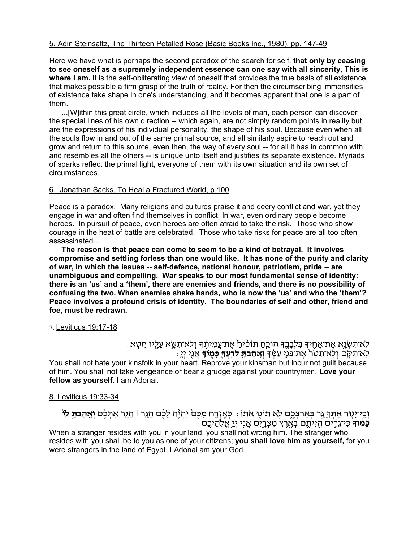## 5. Adin Steinsaltz, The Thirteen Petalled Rose (Basic Books Inc., 1980), pp. 147-49

Here we have what is perhaps the second paradox of the search for self, **that only by ceasing to see oneself as a supremely independent essence can one say with all sincerity, This is where I am.** It is the self-obliterating view of oneself that provides the true basis of all existence, that makes possible a firm grasp of the truth of reality. For then the circumscribing immensities of existence take shape in one's understanding, and it becomes apparent that one is a part of them.

...[W]ithin this great circle, which includes all the levels of man, each person can discover the special lines of his own direction -- which again, are not simply random points in reality but are the expressions of his individual personality, the shape of his soul. Because even when all the souls flow in and out of the same primal source, and all similarly aspire to reach out and grow and return to this source, even then, the way of every soul -- for all it has in common with and resembles all the others -- is unique unto itself and justifies its separate existence. Myriads of sparks reflect the primal light, everyone of them with its own situation and its own set of circumstances.

### 6. Jonathan Sacks, To Heal a Fractured World, p 100

Peace is a paradox. Many religions and cultures praise it and decry conflict and war, yet they engage in war and often find themselves in conflict. In war, even ordinary people become heroes. In pursuit of peace, even heroes are often afraid to take the risk. Those who show courage in the heat of battle are celebrated. Those who take risks for peace are all too often assassinated...

**The reason is that peace can come to seem to be a kind of betrayal. It involves compromise and settling forless than one would like. It has none of the purity and clarity of war, in which the issues -- self-defence, national honour, patriotism, pride -- are unambiguous and compelling. War speaks to our most fundamental sense of identity: there is an 'us' and a 'them', there are enemies and friends, and there is no possibility of confusing the two. When enemies shake hands, who is now the 'us' and who the 'them'? Peace involves a profound crisis of identity. The boundaries of self and other, friend and foe, must be redrawn.** 

## 7. Leviticus 19:17-18

ּלְא־תִשְׂנֵא אֱת־אָחֶיךָ בִּלְבָבֵךְ הוֹכֵחַ תּוֹכִּיחַ אֱת־עֲמִיתֵד וְלְא־תִשֶּׂא עָלָיו חֵטְא ֿי, לְא־תִקָּים וְלְא־תִטֹּרֹ אֶת־בְּנֵי עַמֶּֽךָ **וְאֲהַבְתָּ לְרֵעֵךְ כָּמְוֹךָ** אֲנֵי יְיָ

You shall not hate your kinsfolk in your heart. Reprove your kinsman but incur not guilt because of him. You shall not take vengeance or bear a grudge against your countrymen. **Love your fellow as yourself.** I am Adonai.

### 8. Leviticus 19:33-34

וְכֵי־יַגְוּר אִתְּדֵּ גֵּר בְּאַרְצְכֵם לָא תוֹנוּ אֹתְוֹ : כְּאֵזְרֵח מְכֶּם ْיָהְיָ֫ה לַכֶּׁם הַגֵּר l הַגֵּר אִתְּבֶם **וְאֲהַבְתָּ לֹוֹ כָּמ֔ וֹ�** כִּ ֽ י־גֵרִ ֥ ים הֱ יִיתֶ ֖ ם בְּ אֶ ֣ רֶ ץ מִ צְ רָ ֑יִם אֲ נִ ֖י יְיָ ֥ אֱ �ֽ הֵ יכֶ ֽ ם:

When a stranger resides with you in your land, you shall not wrong him. The stranger who resides with you shall be to you as one of your citizens; **you shall love him as yourself,** for you were strangers in the land of Egypt. I Adonai am your God.